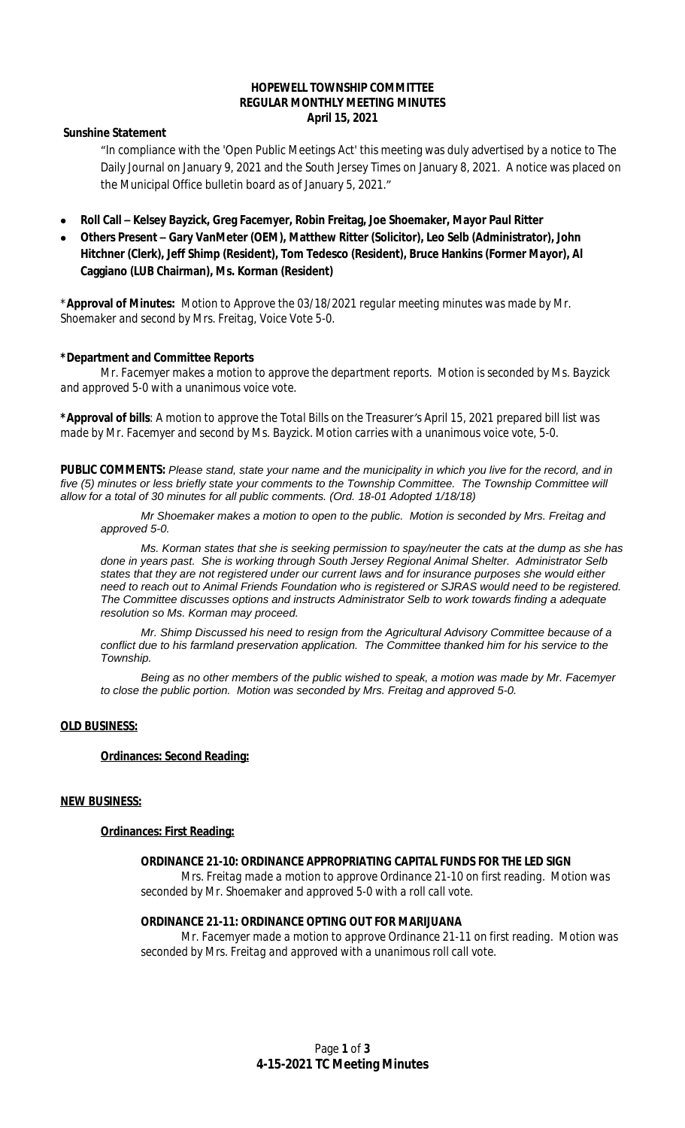# **HOPEWELL TOWNSHIP COMMITTEE REGULAR MONTHLY MEETING MINUTES April 15, 2021**

# **Sunshine Statement**

"In compliance with the 'Open Public Meetings Act' this meeting was duly advertised by a notice to The Daily Journal on January 9, 2021 and the South Jersey Times on January 8, 2021. A notice was placed on the Municipal Office bulletin board as of January 5, 2021."

- **Roll Call – Kelsey Bayzick, Greg Facemyer, Robin Freitag, Joe Shoemaker, Mayor Paul Ritter**
- **Others Present – Gary VanMeter (OEM), Matthew Ritter (Solicitor), Leo Selb (Administrator), John Hitchner (Clerk), Jeff Shimp (Resident), Tom Tedesco (Resident), Bruce Hankins (Former Mayor), Al Caggiano (LUB Chairman), Ms. Korman (Resident)**

\***Approval of Minutes:** *Motion to Approve the 03/18/2021 regular meeting minutes was made by Mr. Shoemaker and second by Mrs. Freitag, Voice Vote 5-0.*

# **\*Department and Committee Reports**

*Mr. Facemyer makes a motion to approve the department reports. Motion is seconded by Ms. Bayzick and approved 5-0 with a unanimous voice vote.*

**\*Approval of bills**: *A* m*otion to approve the Total Bills on the Treasurer's April 15, 2021 prepared bill list was made by Mr. Facemyer and second by Ms. Bayzick. Motion carries with a unanimous voice vote, 5-0.*

**PUBLIC COMMENTS:** *Please stand, state your name and the municipality in which you live for the record, and in five (5) minutes or less briefly state your comments to the Township Committee. The Township Committee will allow for a total of 30 minutes for all public comments. (Ord. 18-01 Adopted 1/18/18)*

*Mr Shoemaker makes a motion to open to the public. Motion is seconded by Mrs. Freitag and approved 5-0.*

*Ms. Korman states that she is seeking permission to spay/neuter the cats at the dump as she has done in years past. She is working through South Jersey Regional Animal Shelter. Administrator Selb states that they are not registered under our current laws and for insurance purposes she would either need to reach out to Animal Friends Foundation who is registered or SJRAS would need to be registered. The Committee discusses options and instructs Administrator Selb to work towards finding a adequate resolution so Ms. Korman may proceed.*

*Mr. Shimp Discussed his need to resign from the Agricultural Advisory Committee because of a conflict due to his farmland preservation application. The Committee thanked him for his service to the Township.*

*Being as no other members of the public wished to speak, a motion was made by Mr. Facemyer to close the public portion. Motion was seconded by Mrs. Freitag and approved 5-0.*

# **OLD BUSINESS:**

# **Ordinances: Second Reading:**

# **NEW BUSINESS:**

# **Ordinances: First Reading:**

# **ORDINANCE 21-10: ORDINANCE APPROPRIATING CAPITAL FUNDS FOR THE LED SIGN**

*Mrs. Freitag made a motion to approve Ordinance 21-10 on first reading. Motion was seconded by Mr. Shoemaker and approved 5-0 with a roll call vote.*

#### **ORDINANCE 21-11: ORDINANCE OPTING OUT FOR MARIJUANA**

*Mr. Facemyer made a motion to approve Ordinance 21-11 on first reading. Motion was seconded by Mrs. Freitag and approved with a unanimous roll call vote.*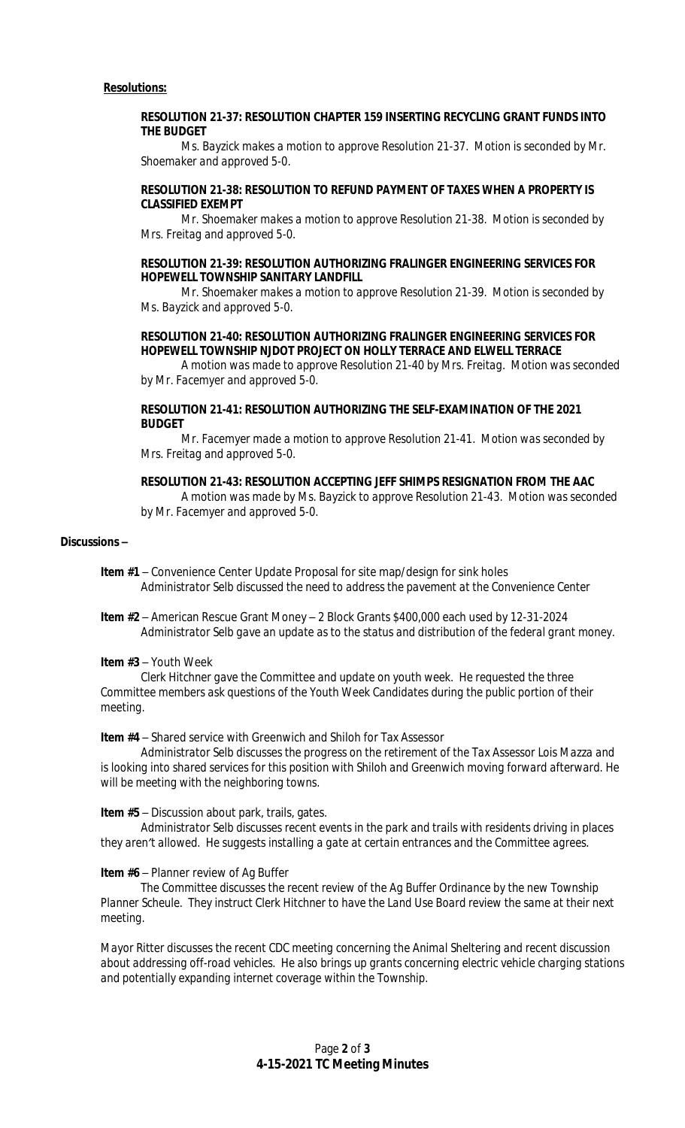## **RESOLUTION 21-37: RESOLUTION CHAPTER 159 INSERTING RECYCLING GRANT FUNDS INTO THE BUDGET**

*Ms. Bayzick makes a motion to approve Resolution 21-37. Motion is seconded by Mr. Shoemaker and approved 5-0.*

# **RESOLUTION 21-38: RESOLUTION TO REFUND PAYMENT OF TAXES WHEN A PROPERTY IS CLASSIFIED EXEMPT**

*Mr. Shoemaker makes a motion to approve Resolution 21-38. Motion is seconded by Mrs. Freitag and approved 5-0.*

# **RESOLUTION 21-39: RESOLUTION AUTHORIZING FRALINGER ENGINEERING SERVICES FOR HOPEWELL TOWNSHIP SANITARY LANDFILL**

*Mr. Shoemaker makes a motion to approve Resolution 21-39. Motion is seconded by Ms. Bayzick and approved 5-0.*

# **RESOLUTION 21-40: RESOLUTION AUTHORIZING FRALINGER ENGINEERING SERVICES FOR HOPEWELL TOWNSHIP NJDOT PROJECT ON HOLLY TERRACE AND ELWELL TERRACE**

*A motion was made to approve Resolution 21-40 by Mrs. Freitag. Motion was seconded by Mr. Facemyer and approved 5-0.*

### **RESOLUTION 21-41: RESOLUTION AUTHORIZING THE SELF-EXAMINATION OF THE 2021 BUDGET**

*Mr. Facemyer made a motion to approve Resolution 21-41. Motion was seconded by Mrs. Freitag and approved 5-0.*

# **RESOLUTION 21-43: RESOLUTION ACCEPTING JEFF SHIMPS RESIGNATION FROM THE AAC**

*A motion was made by Ms. Bayzick to approve Resolution 21-43. Motion was seconded by Mr. Facemyer and approved 5-0.*

# **Discussions –**

**Item #1** – Convenience Center Update Proposal for site map/design for sink holes *Administrator Selb discussed the need to address the pavement at the Convenience Center*

**Item #2** – American Rescue Grant Money – 2 Block Grants \$400,000 each used by 12-31-2024 *Administrator Selb gave an update as to the status and distribution of the federal grant money.*

# **Item #3** – Youth Week

*Clerk Hitchner gave the Committee and update on youth week. He requested the three Committee members ask questions of the Youth Week Candidates during the public portion of their meeting.*

**Item #4** – Shared service with Greenwich and Shiloh for Tax Assessor

*Administrator Selb discusses the progress on the retirement of the Tax Assessor Lois Mazza and is looking into shared services for this position with Shiloh and Greenwich moving forward afterward. He will be meeting with the neighboring towns.*

**Item #5** – Discussion about park, trails, gates.

*Administrator Selb discusses recent events in the park and trails with residents driving in places they aren't allowed. He suggests installing a gate at certain entrances and the Committee agrees.*

# **Item #6** – Planner review of Ag Buffer

*The Committee discusses the recent review of the Ag Buffer Ordinance by the new Township Planner Scheule. They instruct Clerk Hitchner to have the Land Use Board review the same at their next meeting.*

*Mayor Ritter discusses the recent CDC meeting concerning the Animal Sheltering and recent discussion about addressing off-road vehicles. He also brings up grants concerning electric vehicle charging stations and potentially expanding internet coverage within the Township.*